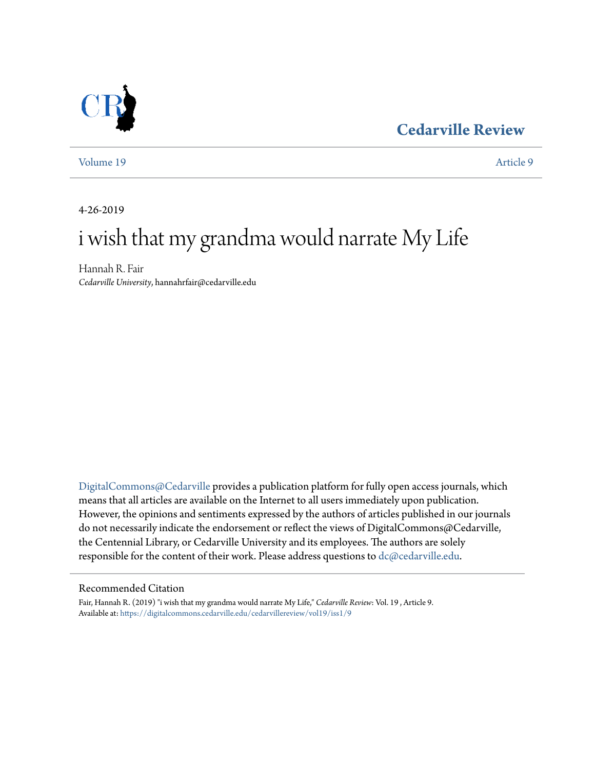### **[Cedarville Review](https://digitalcommons.cedarville.edu/cedarvillereview?utm_source=digitalcommons.cedarville.edu%2Fcedarvillereview%2Fvol19%2Fiss1%2F9&utm_medium=PDF&utm_campaign=PDFCoverPages)**



[Volume 19](https://digitalcommons.cedarville.edu/cedarvillereview/vol19?utm_source=digitalcommons.cedarville.edu%2Fcedarvillereview%2Fvol19%2Fiss1%2F9&utm_medium=PDF&utm_campaign=PDFCoverPages) [Article 9](https://digitalcommons.cedarville.edu/cedarvillereview/vol19/iss1/9?utm_source=digitalcommons.cedarville.edu%2Fcedarvillereview%2Fvol19%2Fiss1%2F9&utm_medium=PDF&utm_campaign=PDFCoverPages)

4-26-2019

# i wish that my grandma would narrate My Life

Hannah R. Fair *Cedarville University*, hannahrfair@cedarville.edu

[DigitalCommons@Cedarville](http://digitalcommons.cedarville.edu/) provides a publication platform for fully open access journals, which means that all articles are available on the Internet to all users immediately upon publication. However, the opinions and sentiments expressed by the authors of articles published in our journals do not necessarily indicate the endorsement or reflect the views of DigitalCommons@Cedarville, the Centennial Library, or Cedarville University and its employees. The authors are solely responsible for the content of their work. Please address questions to  $dc@cedarville.edu$ .

#### Recommended Citation

Fair, Hannah R. (2019) "i wish that my grandma would narrate My Life," *Cedarville Review*: Vol. 19 , Article 9. Available at: [https://digitalcommons.cedarville.edu/cedarvillereview/vol19/iss1/9](https://digitalcommons.cedarville.edu/cedarvillereview/vol19/iss1/9?utm_source=digitalcommons.cedarville.edu%2Fcedarvillereview%2Fvol19%2Fiss1%2F9&utm_medium=PDF&utm_campaign=PDFCoverPages)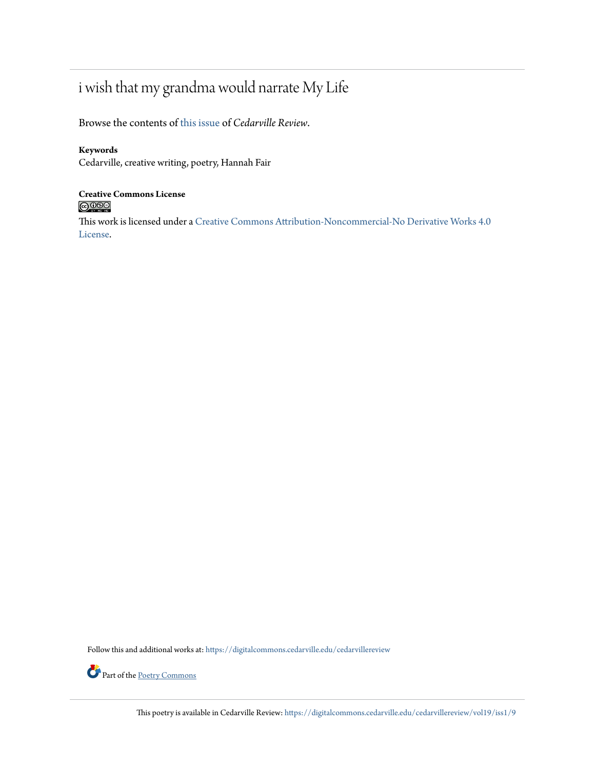### i wish that my grandma would narrate My Life

Browse the contents of [this issue](https://digitalcommons.cedarville.edu/cedarvillereview/vol19/iss1) of *Cedarville Review*.

#### **Keywords**

Cedarville, creative writing, poetry, Hannah Fair

## **Creative Commons License**<br> **C** 000

This work is licensed under a [Creative Commons Attribution-Noncommercial-No Derivative Works 4.0](http://creativecommons.org/licenses/by-nc-nd/4.0/) [License.](http://creativecommons.org/licenses/by-nc-nd/4.0/)

Follow this and additional works at: [https://digitalcommons.cedarville.edu/cedarvillereview](https://digitalcommons.cedarville.edu/cedarvillereview?utm_source=digitalcommons.cedarville.edu%2Fcedarvillereview%2Fvol19%2Fiss1%2F9&utm_medium=PDF&utm_campaign=PDFCoverPages)



This poetry is available in Cedarville Review: [https://digitalcommons.cedarville.edu/cedarvillereview/vol19/iss1/9](https://digitalcommons.cedarville.edu/cedarvillereview/vol19/iss1/9?utm_source=digitalcommons.cedarville.edu%2Fcedarvillereview%2Fvol19%2Fiss1%2F9&utm_medium=PDF&utm_campaign=PDFCoverPages)